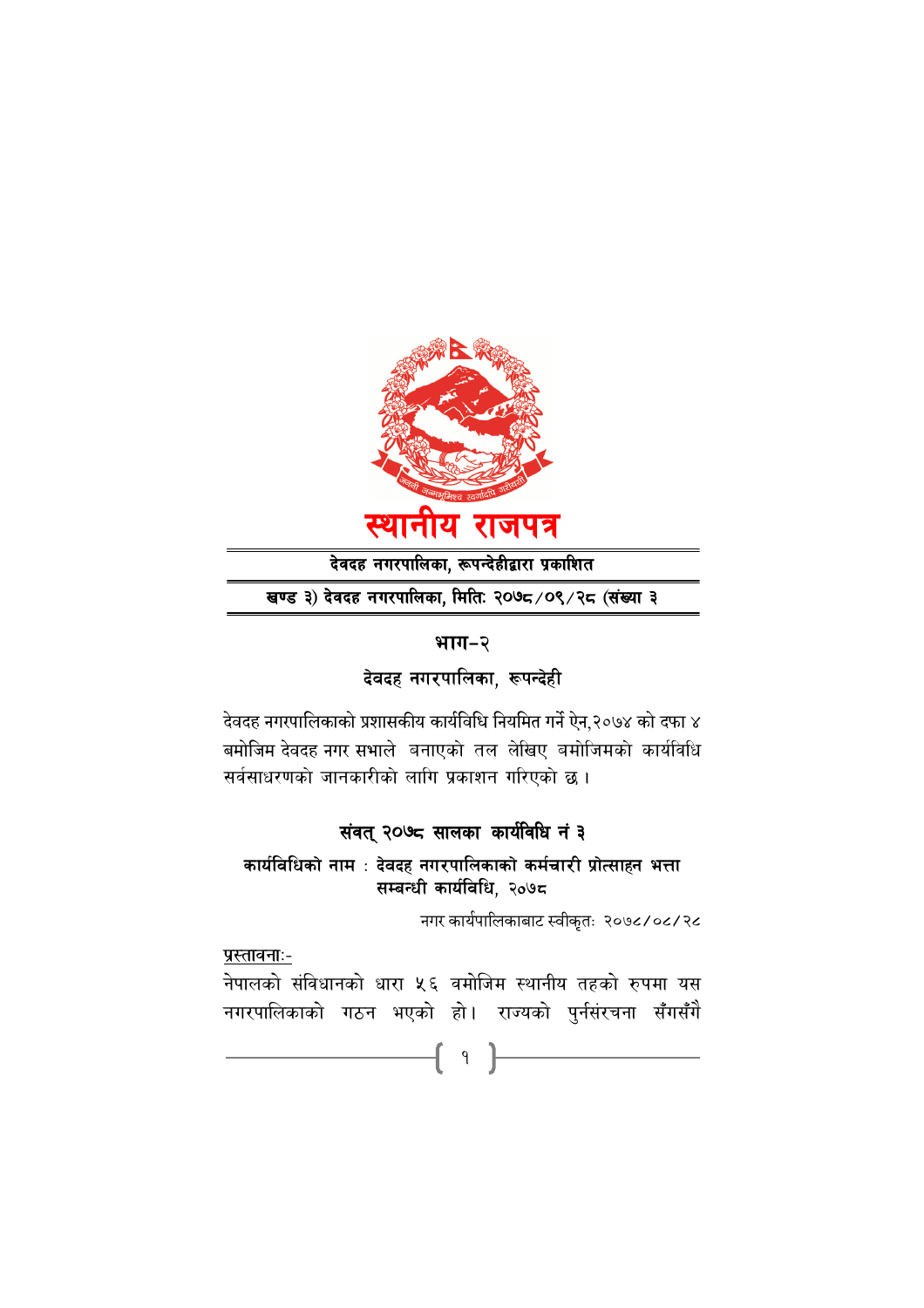

देवदह नगरपालिका, रूपन्देहीद्वारा प्रकाशित

खण्ड ३) देवदह नगरपालिका, मितिः २०७८/०९/२८ (संख्या ३

#### भाग-२

देवदह नगरपालिका, रूपन्देही

देवदह नगरपालिकाको प्रशासकीय कार्यविधि नियमित गर्ने ऐन,२०७४ को दफा ४ बमोजिम देवदह नगर सभाले बनाएको तल लेखिए बमोजिमको कार्यविधि सर्वसाधरणको जानकारीको लागि प्रकाशन गरिएको छ।

## संवत् २०७८ सालका कार्यविधि नं ३

कार्यविधिको नाम $\,$ ः देवदह नगरपालिकाको कर्मचारी प्रोत्साहन भत्ता सम्बन्धी कार्यविधि, २०७८

नगर कार्यपालिकाबाट स्वीकृतः २०७८/०८/२८

<u>प्रस्तावनाः-</u>

नेपालको सर्विधानको धारा ५६ वमोजिम स्थानीय तहको रुपमा यस नगरपालिकाको गठन भएको हो। राज्यको पुर्नसंरचना सँगसँगै

1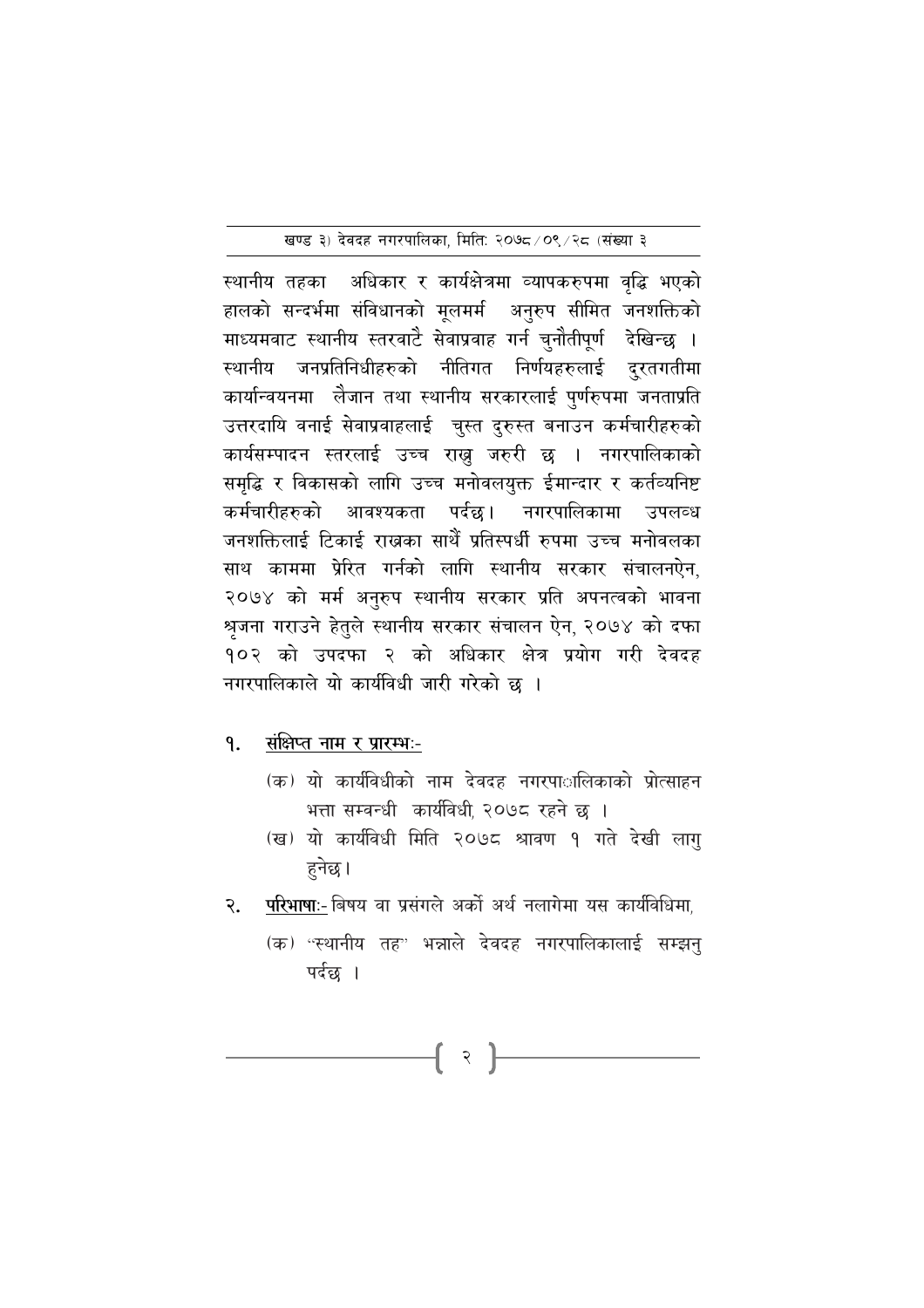स्थानीय तहका अधिकार र कार्यक्षेत्रमा व्यापकरुपमा वृद्धि भएको हालको सन्दर्भमा संविधानको मूलमर्म अनुरुप सीमित जनशक्तिको माध्यमवाट स्थानीय स्तरवाटे सेवाप्रवाह गर्न चुनौतीपूर्ण देखिन्छ । स्थानीय जनप्रतिनिधीहरुको नीतिगत निर्णयहरुलाई दुरतगतीमा कार्यान्वयनमा लेजान तथा स्थानीय सरकारलाई पुर्णरुपमा जनताप्रति उत्तरदायि वनाई सेवाप्रवाहलाई वुस्त दुरुस्त बनाउन कर्मचारीहरुको कार्यसम्पादन स्तरलाई उच्च राख्न जरुरी छ । नगरपालिकाको समृद्धि र विकासको लागि उच्च मनोवलयुक्त ईमान्दार र कर्तव्यनिष्ट कर्मचारीहरुको आवश्यकता पर्दछ। नगरपालिकामा उपलव्ध जनशक्तिलाई टिकाई राखका साथैँ प्रतिस्पर्धी रुपमा उच्च मनोवलका साथ काममा प्रेरित गर्नको लागि स्थानीय सरकार संचालनऐन. २०७४ को मर्म अनुरुप स्थानीय सरकार प्रति अपनत्वको भावना श्रृजना गराउने हेतुले स्थानीय सरकार संचालन ऐन, २०७४ को दफा १०२ को उपदफा २ को अधिकार क्षेत्र प्रयोग गरी देवदह नगरपालिकाले यो कार्यविधी जारी गरेको छ ।

#### संक्षिप्त नाम र प्रारम्भः-9.

- (क) यो कार्यविधीको नाम देवदह नगरपाालिकाको प्रोत्साहन भत्ता सम्वन्धी कार्यविधी, २०७८ रहने छ ।
- (ख) यो कार्यविधी मिति २०७८ श्रावण १ गते देखी लागु हुनेछ।
- परिभाषाः- बिषय वा प्रसंगले अर्को अर्थ नलागेमा यस कार्यविधिमा, २.

 $\{ \begin{array}{c} \rightarrow \end{array}$ 

(क) "स्थानीय तह" भन्नाले देवदह नगरपालिकालाई सम्झनु पर्दछ ।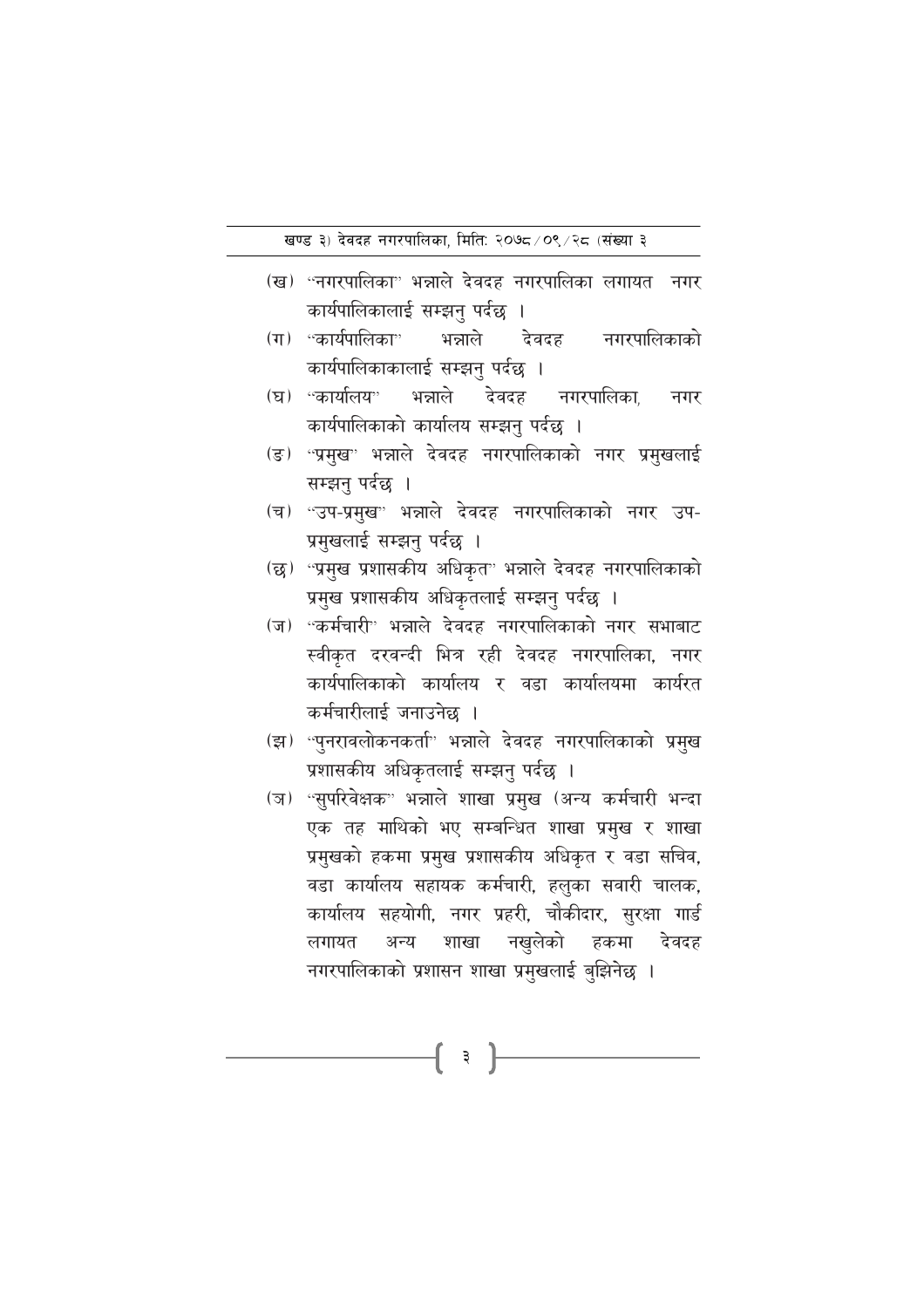- (ख) "नगरपालिका" भन्नाले देवदह नगरपालिका लगायत नगर कार्यपालिकालाई सम्झनु पर्दछ ।
- (ग) ''कार्यपालिका'' भन्नाले नगरपालिकाको देवदह कार्यपालिकाकालाई सम्झनु पर्दछ ।
- (घ) "कार्यालय" भन्नाले देवदह नगरपालिका, नगर कार्यपालिकाको कार्यालय सम्झनु पर्दछ ।
- (ङ) 'प्रमुख" भन्नाले देवदह नगरपालिकाको नगर प्रमुखलाई सम्झनु पर्दछ ।
- (च) "उप-प्रमुख" भन्नाले देवदह नगरपालिकाको नगर उप-प्रमुखलाई सम्झनु पर्दछ ।
- (छ) "प्रमुख प्रशासकीय अधिकृत" भन्नाले देवदह नगरपालिकाको प्रमुख प्रशासकीय अधिकृतलाई सम्झनु पर्दछ ।
- (ज) "कर्मचारी" भन्नाले देवदह नगरपालिकाको नगर सभाबाट स्वीकृत दरवन्दी भित्र रही देवदह नगरपालिका, नगर कार्यपालिकाको कार्यालय र वडा कार्यालयमा कार्यरत कर्मचारीलाई जनाउनेछ ।
- (झ) "पुनरावलोकनकर्ता" भन्नाले देवदह नगरपालिकाको प्रमुख प्रशासकीय अधिकृतलाई सम्झनु पर्दछ ।
- (ज) "सुपरिवेक्षक" भन्नाले शाखा प्रमुख (अन्य कर्मचारी भन्दा एक तह माथिको भए सम्बन्धित शाखा प्रमुख र शाखा प्रमुखको हकमा प्रमुख प्रशासकीय अधिकृत र वडा सचिव, वडा कार्यालय सहायक कर्मचारी, हलुका सवारी चालक, कार्यालय सहयोगी, नगर प्रहरी, चौकीदार, सुरक्षा गार्ड लगायत अन्य शाखा नखुलेको हकमा देवदह नगरपालिकाको प्रशासन शाखा प्रमुखलाई बुझिनेछ ।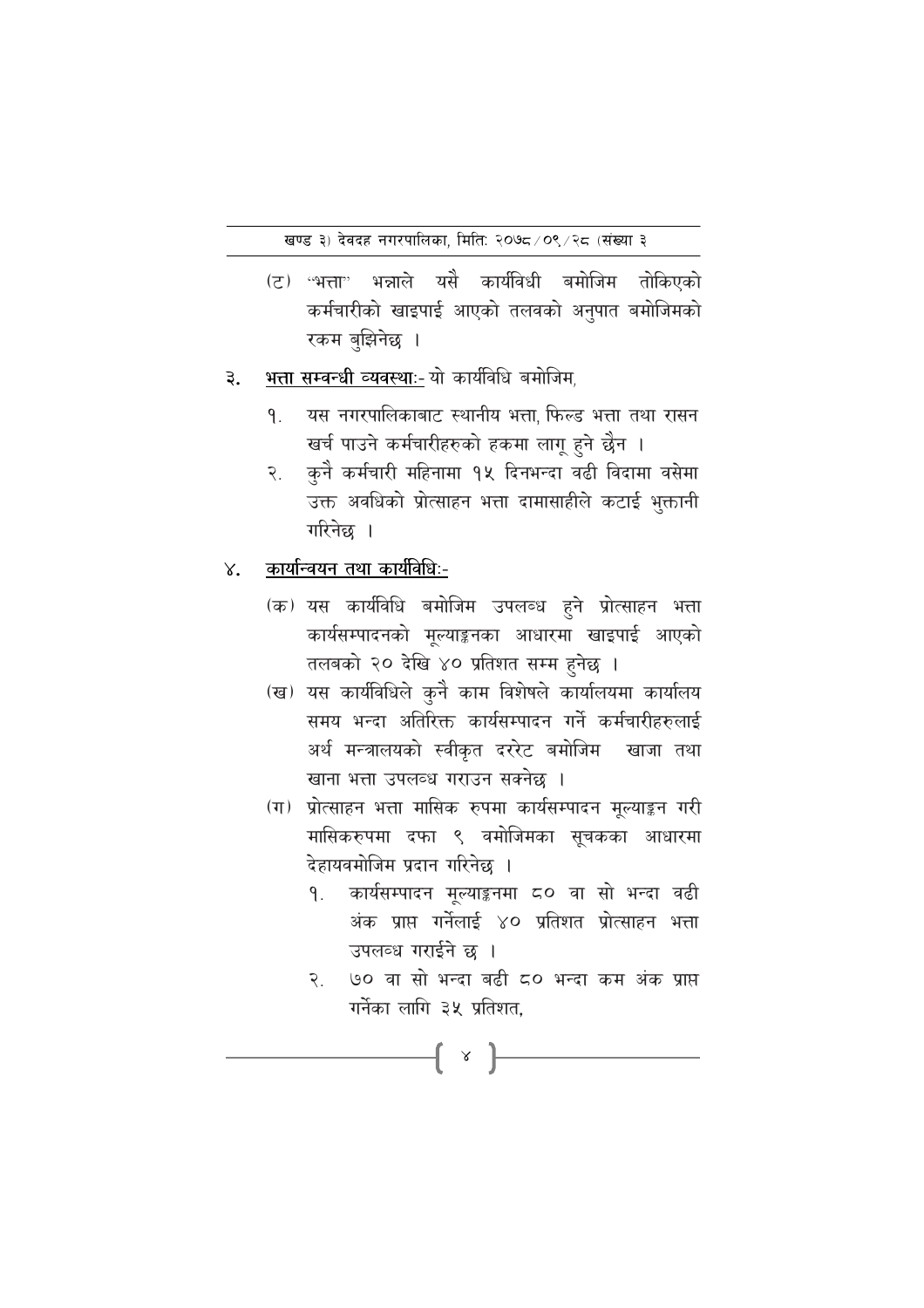- (ट) ''भत्ता'' भन्नाले यसै कार्यविधी बमोजिम तोकिएको कर्मचारीको खाइपाई आएको तलवको अनुपात बमोजिमको रकम बुझिनेछ ।
- भत्ता सम्वन्धी व्यवस्थाः- यो कार्यविधि बमोजिम् ३.
	- यस नगरपालिकाबाट स्थानीय भत्ता फिल्ड भत्ता तथा रासन ۹. खर्च पाउने कर्मचारीहरुको हकमा लागू हुने छैन ।
	- कुनै कर्मचारी महिनामा १५ दिनभन्दा वढी विदामा वसेमा २ उक्त अवधिको प्रोत्साहन भत्ता दामासाहीले कटाई भुक्तानी गरिनेछ ।
- <u>कार्यान्वयन तथा कार्यविधिः-</u>  $X_{\bullet}$ 
	- (क) यस कार्यविधि बमोजिम उपलब्ध हुने प्रोत्साहन भत्ता कार्यसम्पादनको मूल्याङ्कनका आधारमा खाइपाई आएको तलबको २० देखि ४० प्रतिशत सम्म हुनेछ ।
	- (ख) यस कार्यविधिले कुनै काम विशेषले कार्यालयमा कार्यालय समय भन्दा अतिरिक्त कार्यसम्पादन गर्ने कर्मचारीहरुलाई अर्थ मन्त्रालयको स्वीकृत दररेट बमोजिम खाजा तथा खाना भत्ता उपलव्ध गराउन सक्नेछ ।
	- (ग) प्रोत्साहन भत्ता मासिक रुपमा कार्यसम्पादन मूल्याङ्कन गरी मासिकरुपमा दफा ९ वमोजिमका सूचकका आधारमा देहायवमोजिम प्रदान गरिनेछ ।
		- कार्यसम्पादन मुल्याङ्कनमा ८० वा सो भन्दा वढी  $\mathsf{q}_{\perp}$ अंक प्राप्त गर्नेलाई ४० प्रतिशत प्रोत्साहन भत्ता उपलव्ध गराईने छ ।
		- ७० वा सो भन्दा बढी ८० भन्दा कम अंक प्राप्त  $\tilde{\mathbf{z}}$ गर्नेका लागि ३५ प्रतिशत.

 $\{ \ \ \times \ \}$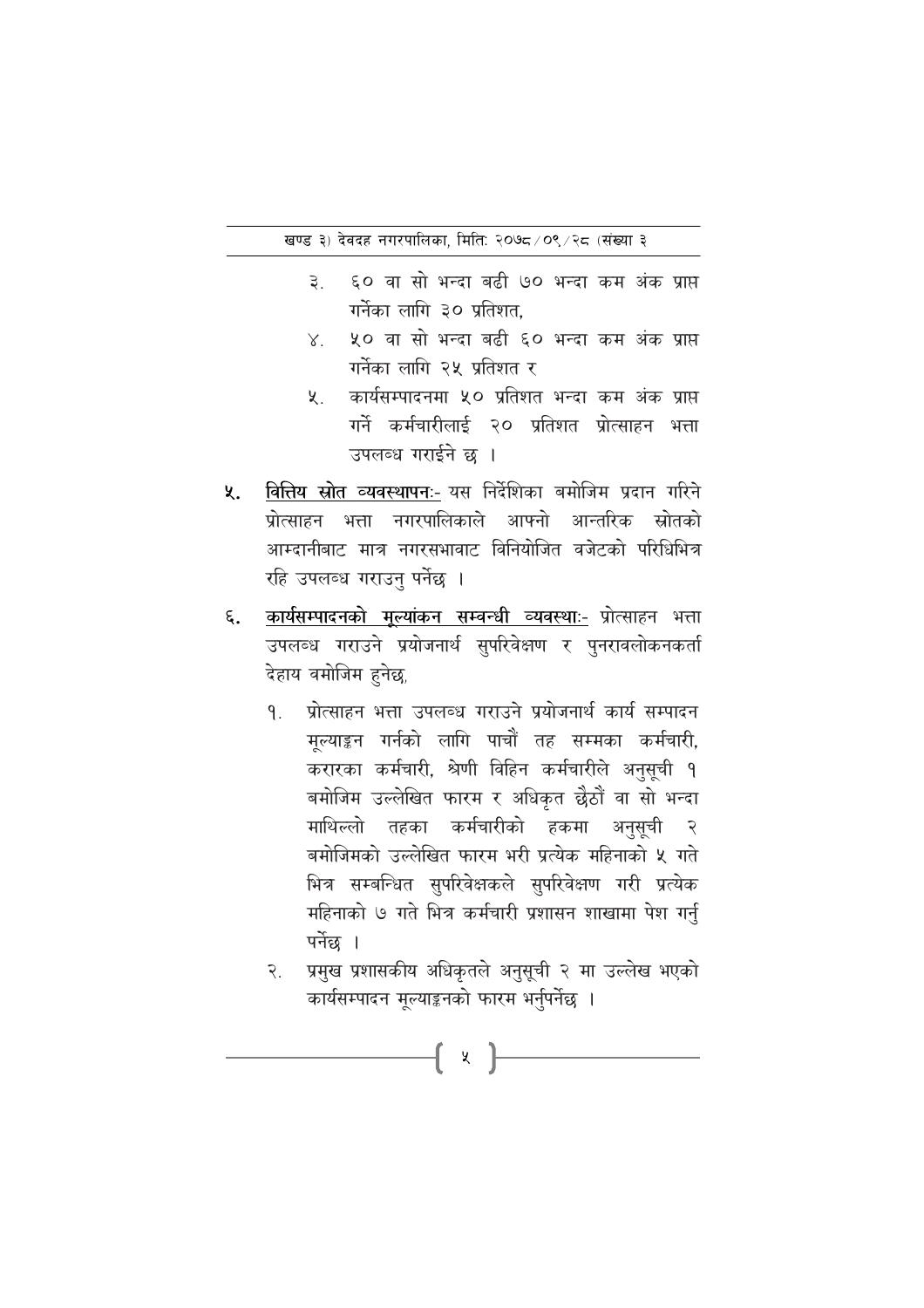- $\mathbf{B}$ ६० वा सो भन्दा बढी ७० भन्दा कम अंक प्राप्त गर्नेका लागि ३० प्रतिशत.
- ५० वा सो भन्दा बढी ६० भन्दा कम अंक प्राप्त  $X_{-}$ गर्नेका लागि २५ प्रतिशत र
- कार्यसम्पादनमा ५० प्रतिशत भन्दा कम अंक प्राप्त ५. गर्ने कर्मचारीलाई २० प्रतिशत प्रोत्साहन भत्ता उपलब्ध गराईने छ ।
- वित्तिय स्रोत व्यवस्थापनः- यस निर्देशिका बमोजिम प्रदान गरिने ५. प्रोत्साहन भत्ता नगरपालिकाले आफ्नो आन्तरिक स्रोतको आम्दानीबाट मात्र नगरसभावाट विनियोजित वजेटको परिधिभित्र रहि उपलब्ध गराउनु पर्नेछ ।
- <u>कार्यसम्पादनको मुल्यांकन सम्वन्धी व्यवस्थाः-</u> प्रोत्साहन भत्ता ६. उपलब्ध गराउने प्रयोजनार्थ सुपरिवेक्षण र पुनरावलोकनकर्ता देहाय वमोजिम हनेछ.
	- प्रोत्साहन भत्ता उपलब्ध गराउने प्रयोजनार्थ कार्य सम्पादन  $\mathsf{q}$ मुल्याङ्कन गर्नको लागि पाचौं तह सम्मका कर्मचारी, करारका कर्मचारी, श्रेणी विहिन कर्मचारीले अनुसूची १ बमोजिम उल्लेखित फारम र अधिकृत छैठौं वा सो भन्दा माथिल्लो तहका कर्मचारीको हकमा अनुसुची  $\mathcal{R}$ बमोजिमको उल्लेखित फारम भरी प्रत्येक महिनाको ५ गते भित्र सम्बन्धित सुपरिवेक्षकले सुपरिवेक्षण गरी प्रत्येक महिनाको ७ गते भित्र कर्मचारी प्रशासन शाखामा पेश गर्नु पर्नेछ ।
	- प्रमुख प्रशासकीय अधिकृतले अनुसूची २ मा उल्लेख भएको  $\widetilde{\mathcal{R}}$ . कार्यसम्पादन मूल्याङ्कनको फारम भर्नुपर्नेछ ।

{ x }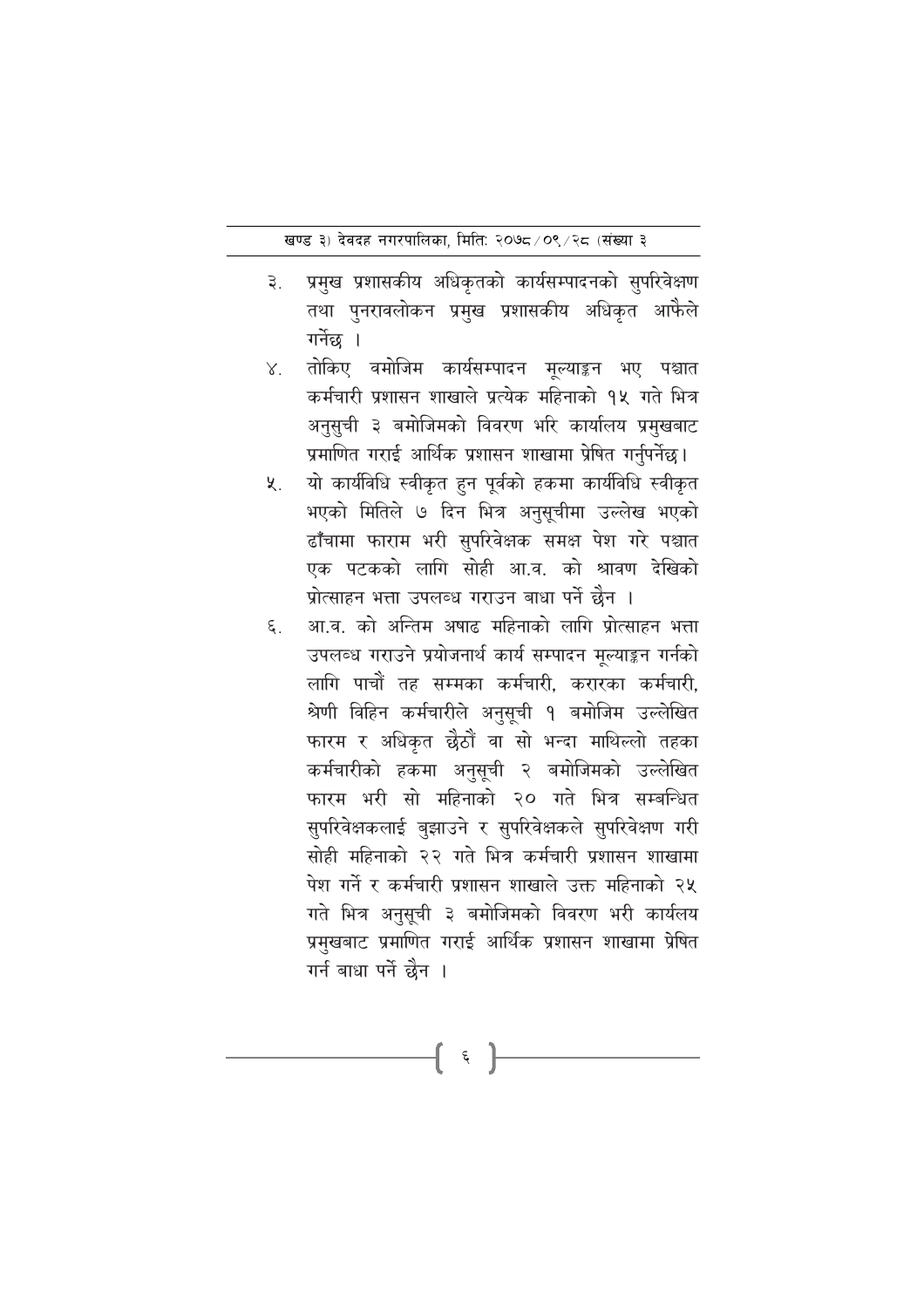- प्रमुख प्रशासकीय अधिकृतको कार्यसम्पादनको सुपरिवेक्षण  $\mathfrak{g}^{\mathfrak{g}}$ तथा पुनरावलोकन प्रमुख प्रशासकीय अधिकृत आफेैले गर्नेछ ।
- तोकिए वमोजिम कार्यसम्पादन मल्याङ्कन भए पश्चात  $X_{1}$ कर्मचारी प्रशासन शाखाले प्रत्येक महिनाको १५ गते भित्र अनुसुची ३ बमोजिमको विवरण भरि कार्यालय प्रमुखबाट प्रमाणित गराई आर्थिक प्रशासन शाखामा प्रेषित गर्नुपर्नेछ।
- यो कार्यविधि स्वीकृत हुन पूर्वको हकमा कार्यविधि स्वीकृत  $x_{1}$ भएको मितिले ७ दिन भित्र अनुसूचीमा उल्लेख भएको ढाँचामा फाराम भरी सुपरिवेक्षक समक्ष पेश गरे पश्चात एक पटकको लागि सोही आ.व. को श्रावण देखिको प्रोत्साहन भत्ता उपलब्ध गराउन बाधा पर्ने छैन ।
- आ.व. को अन्तिम अषाढ महिनाको लागि प्रोत्साहन भत्ता ٤. उपलब्ध गराउने प्रयोजनार्थ कार्य सम्पादन मल्याङ्कन गर्नको लागि पाचौं तह सम्मका कर्मचारी, करारका कर्मचारी, श्रेणी विहिन कर्मचारीले अनुसूची १ बमोजिम उल्लेखित फारम र अधिकृत छैठौं वा सो भन्दा माथिल्लो तहका कर्मचारीको हकमा अनुसुची २ बमोजिमको उल्लेखित फारम भरी सो महिनाको २० गते भित्र सम्बन्धित सुपरिवेक्षकलाई बुझाउने र सुपरिवेक्षकले सुपरिवेक्षण गरी सोही महिनाको २२ गते भित्र कर्मचारी प्रशासन शाखामा पेश गर्ने र कर्मचारी प्रशासन शाखाले उक्त महिनाको २५ गते भित्र अनुसूची ३ बमोजिमको विवरण भरी कार्यलय प्रमुखबाट प्रमाणित गराई आर्थिक प्रशासन शाखामा प्रेषित गर्न बाधा पर्ने छैन ।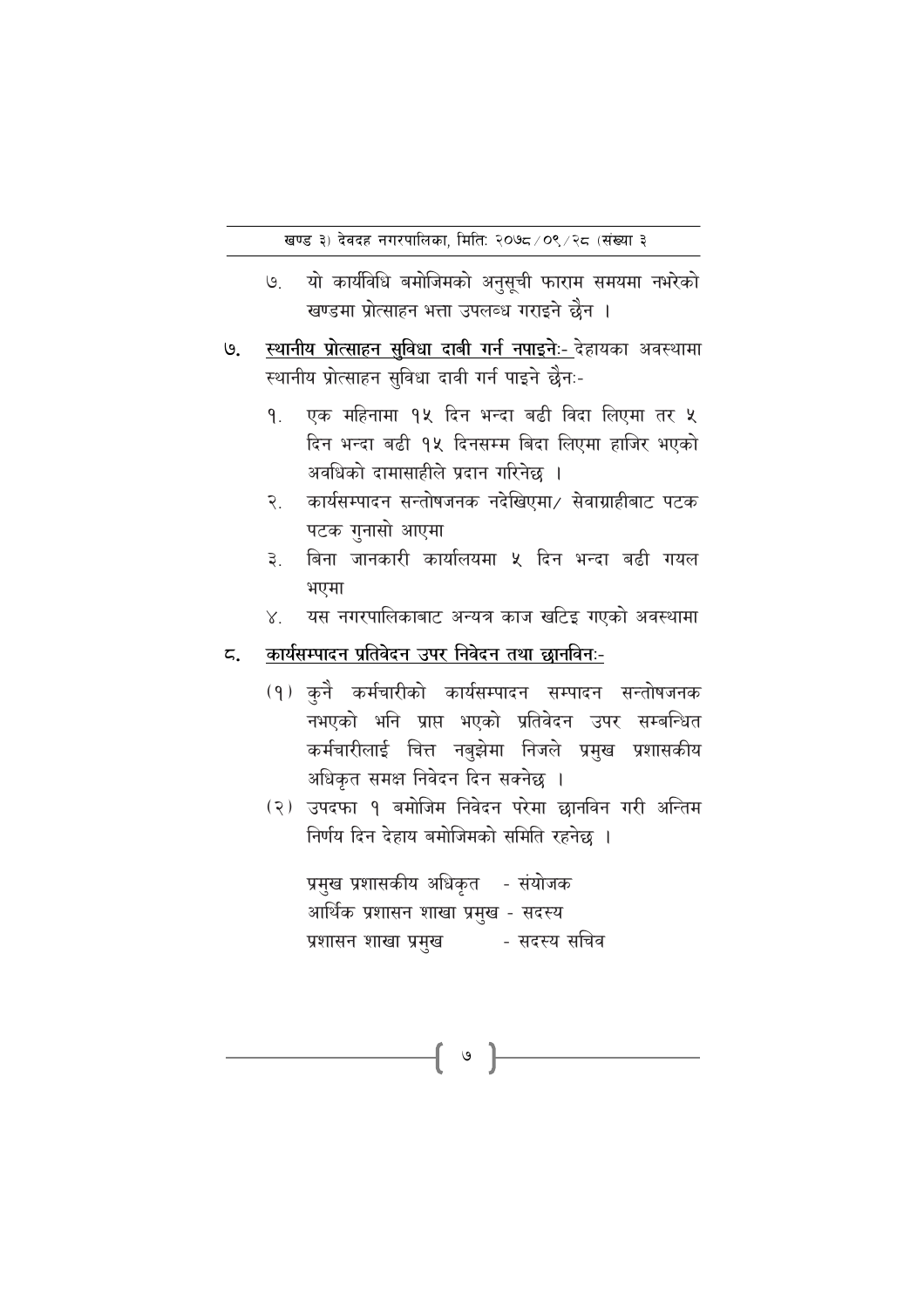- यो कार्यविधि बमोजिमको अनुसूची फाराम समयमा नभरेको  $\Theta$ खण्डमा प्रोत्साहन भत्ता उपलब्ध गराइने छैन ।
- स्थानीय प्रोत्साहन सविधा दाबी गर्न नपाइने:- देहायका अवस्थामा ७. स्थानीय प्रोत्साहन सुविधा दावी गर्न पाइने छैनः-
	- एक महिनामा १५ दिन भन्दा बढी विदा लिएमा तर ५ ۹. दिन भन्दा बढी १५ दिनसम्म बिदा लिएमा हाजिर भएको अवधिको दामासाहीले प्रदान गरिनेछ ।
	- कार्यसम्पादन सन्तोषजनक नदेखिएमा⁄ सेवाग्राहीबाट पटक  $\widetilde{\mathcal{R}}$ . पटक गुनासो आएमा
	- बिना जानकारी कार्यालयमा ५ दिन भन्दा बढी गयल ३. भएमा
	- यस नगरपालिकाबाट अन्यत्र काज खटिइ गएको अवस्थामा  $X_{1}$

#### कार्यसम्पादन प्रतिवेदन उपर निवेदन तथा छानविनःζ.

- (१) कुनै कर्मचारीको कार्यसम्पादन सम्पादन सन्तोषजनक नभएको भनि प्राप्त भएको प्रतिवेदन उपर सम्बन्धित कर्मचारीलाई चित्त नबुझेमा निजले प्रमुख प्रशासकीय अधिकृत समक्ष निवेदन दिन सक्नेछ ।
- (२) उपदफा १ बमोजिम निवेदन परेमा छानविन गरी अन्तिम निर्णय दिन देहाय बमोजिमको समिति रहनेछ ।

प्रमुख प्रशासकीय अधिकृत - संयोजक आर्थिक प्रशासन शाखा प्रमुख - सदस्य प्रशासन शाखा प्रमुख कि - सदस्य सचिव

 $\mathsf{G}$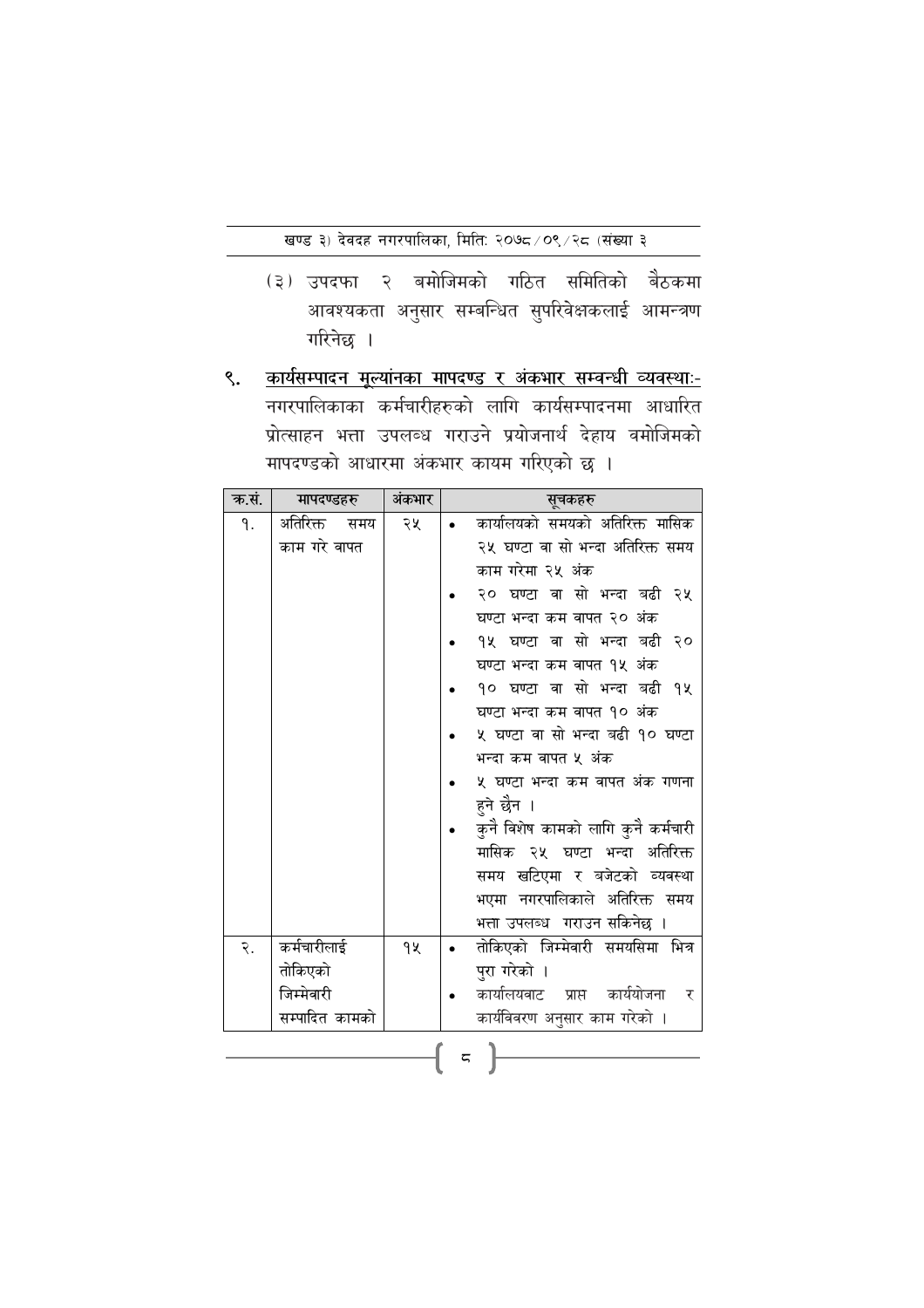- (३) उपदफा २ बमोजिमको गठित समितिको बैठकमा आवश्यकता अनुसार सम्बन्धित सुपरिवेक्षकलाई आमन्त्रण गरिनेछ ।
- कार्यसम्पादन मुल्यांनका मापदण्ड र अंकभार सम्वन्धी व्यवस्थाः- $\mathcal{S}_{\bullet}$ नगरपालिकाका कर्मचारीहरुको लागि कार्यसम्पादनमा आधारित प्रोत्साहन भत्ता उपलब्ध गराउने प्रयोजनार्थ देहाय वमोजिमको मापदण्डको आधारमा अंकभार कायम गरिएको छ ।

| क.सं. | मापदण्डहरु      | अंकभार | सूचकहरु                             |                                     |  |
|-------|-----------------|--------|-------------------------------------|-------------------------------------|--|
| ۹.    | अतिरिक्त<br>समय | २५     |                                     | कार्यालयको समयको अतिरिक्त मासिक     |  |
|       | काम गरे वापत    |        |                                     | २५ घण्टा वा सो भन्दा अतिरिक्त समय   |  |
|       |                 |        |                                     | काम गरेमा २५ अंक                    |  |
|       |                 |        |                                     | २० घण्टा वा सो भन्दा बढी २५         |  |
|       |                 |        | घण्टा भन्दा कम वापत २० अंक          |                                     |  |
|       |                 |        |                                     | १५ घण्टा वा सो भन्दा बढी २०         |  |
|       |                 |        |                                     | घण्टा भन्दा कम वापत १५ अंक          |  |
|       |                 |        |                                     | १० घण्टा वा सो भन्दा बढी १५         |  |
|       |                 |        |                                     | घण्टा भन्दा कम वापत १० अंक          |  |
|       |                 |        |                                     | ५ घण्टा वा सो भन्दा बढी १० घण्टा    |  |
|       |                 |        |                                     | भन्दा कम वापत ५ अंक                 |  |
|       |                 |        | ५ घण्टा भन्दा कम वापत अंक गणना      |                                     |  |
|       |                 |        | हुने छैन ।                          |                                     |  |
|       |                 |        | कुनै विशेष कामको लागि कुनै कर्मचारी |                                     |  |
|       |                 |        | मासिक २५ घण्टा भन्दा<br>अतिरिक्त    |                                     |  |
|       |                 |        |                                     | समय खटिएमा र बजेटको व्यवस्था        |  |
|       |                 |        |                                     | भएमा नगरपालिकाले अतिरिक्त समय       |  |
|       |                 |        |                                     | भत्ता उपलब्ध गराउन सकिनेछ ।         |  |
| २.    | कर्मचारीलाई     | 92     |                                     | तोकिएको जिम्मेवारी समयसिमा भित्र    |  |
|       | तोकिएको         |        |                                     | पुरा गरेको ।                        |  |
|       | जिम्मेवारी      |        |                                     | कार्यालयवाट प्राप्त कार्ययोजना<br>र |  |
|       | सम्पादित कामको  |        |                                     | कार्यविवरण अनुसार काम गरेको ।       |  |
|       |                 |        |                                     |                                     |  |
| ζ     |                 |        |                                     |                                     |  |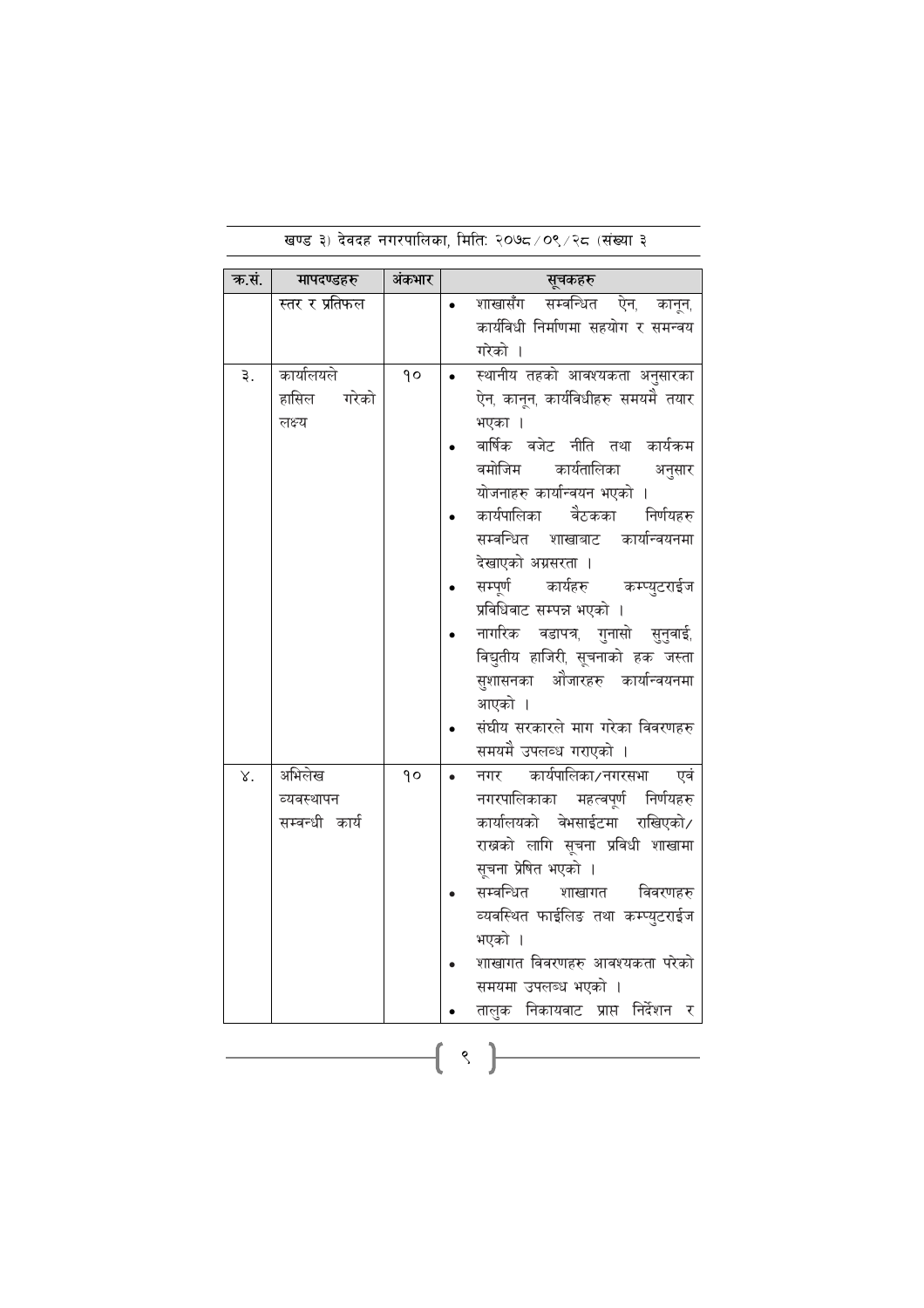| क.सं. | मापदण्डहरु     | अंकभार            | सूचकहरु                                                               |  |  |
|-------|----------------|-------------------|-----------------------------------------------------------------------|--|--|
|       | स्तर र प्रतिफल |                   | शाखासँग<br>सम्वन्धित ऐन, कानून,                                       |  |  |
|       |                |                   | कार्यविधी निर्माणमा सहयोग र समन्वय                                    |  |  |
|       |                |                   | गरेको ।                                                               |  |  |
| ३.    | कार्यालयले     | $\mathsf{q}\circ$ | स्थानीय तहको आवश्यकता अनुसारका                                        |  |  |
|       | हासिल<br>गरेको |                   | ऐन, कानून, कार्यविधीहरु समयमै तयार                                    |  |  |
|       | लक्ष्य         |                   | भएका ।                                                                |  |  |
|       |                |                   | वार्षिक वजेट नीति तथा कार्यकम                                         |  |  |
|       |                |                   | वमोजिम<br>कार्यतालिका<br>अनुसार                                       |  |  |
|       |                |                   | योजनाहरु कार्यान्वयन भएको                                             |  |  |
|       |                |                   | कार्यपालिका<br>वैठकका निर्णयहरु                                       |  |  |
|       |                |                   | सम्वन्धित शाखाबाट कार्यान्वयनमा                                       |  |  |
|       |                |                   | देखाएको अग्रसरता ।                                                    |  |  |
|       |                |                   | सम्पूर्ण<br>कार्यहरु कम्प्युटराईज                                     |  |  |
|       |                |                   | प्रविधिवाट सम्पन्न भएको ।                                             |  |  |
|       |                |                   | नागरिक वडापत्र, गुनासो सुनुवाई,<br>विद्युतीय हाजिरी, सूचनाको हक जस्ता |  |  |
|       |                |                   | सुशासनका ओजारहरु कार्यान्वयनमा                                        |  |  |
|       |                |                   | आएको ।                                                                |  |  |
|       |                |                   | संघीय सरकारले माग गरेका विवरणहरु                                      |  |  |
|       |                |                   | समयमै उपलव्ध गराएको ।                                                 |  |  |
| γ.    | अभिलेख         | $\mathsf{q}\circ$ | नगर कार्यपालिका/नगरसभा<br>एवं                                         |  |  |
|       | व्यवस्थापन     |                   | नगरपालिकाका महत्वपूर्ण निर्णयहरु                                      |  |  |
|       | सम्बन्धी कार्य |                   | कार्यालयको वेभसाईटमा राखिएको/                                         |  |  |
|       |                |                   | राखको लागि सूचना प्रविधी शाखामा                                       |  |  |
|       |                |                   | सूचना प्रेषित भएको ।                                                  |  |  |
|       |                |                   | सम्बन्धित<br>विवरणहरु<br>शाखागत                                       |  |  |
|       |                |                   | व्यवस्थित फाईलिङ तथा कम्प्युटराईज                                     |  |  |
|       |                |                   | भएको ।                                                                |  |  |
|       |                |                   | शाखागत विवरणहरु आवश्यकता परेको                                        |  |  |
|       |                |                   | समयमा उपलब्ध भएको ।                                                   |  |  |
|       |                |                   | निकायवाट प्राप्त<br>निर्देशन<br>तालुक<br>र                            |  |  |
|       |                |                   |                                                                       |  |  |
|       |                |                   | ९                                                                     |  |  |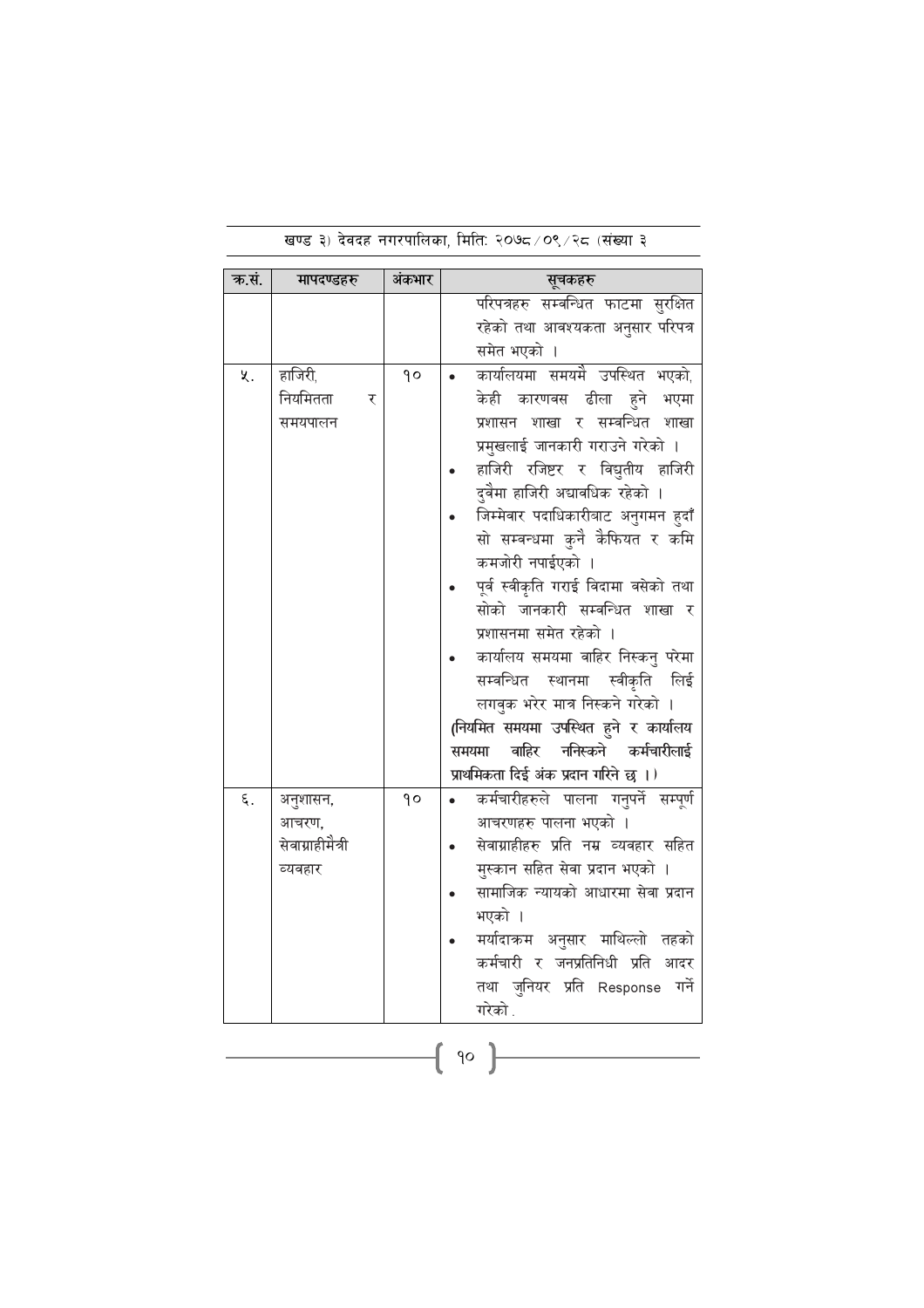| क.सं. | मापदण्डहरु       | अंकभार | सूचकहरु                                |  |  |  |  |
|-------|------------------|--------|----------------------------------------|--|--|--|--|
|       |                  |        | परिपत्रहरु सम्बन्धित फाटमा सुरक्षित    |  |  |  |  |
|       |                  |        | रहेको तथा आवश्यकता अनुसार परिपत्र      |  |  |  |  |
|       |                  |        | समेत भएको ।                            |  |  |  |  |
| ५.    | हाजिरी,          | qο     | कार्यालयमा समयमै उपस्थित भएको,         |  |  |  |  |
|       | नियमितता<br>र    |        | केही कारणवस ढीला हुने भएमा             |  |  |  |  |
|       | समयपालन          |        | प्रशासन शाखा र सम्वन्धित शाखा          |  |  |  |  |
|       |                  |        | प्रमुखलाई जानकारी गराउने गरेको ।       |  |  |  |  |
|       |                  |        | हाजिरी रजिष्टर र विद्युतीय हाजिरी      |  |  |  |  |
|       |                  |        | दुवैमा हाजिरी अद्यावधिक रहेको ।        |  |  |  |  |
|       |                  |        | जिम्मेवार पदाधिकारीबाट अनुगमन हुदाँ    |  |  |  |  |
|       |                  |        | सो सम्वन्धमा कुनै कैफियत र कमि         |  |  |  |  |
|       |                  |        | कमजोरी नपाईएको ।                       |  |  |  |  |
|       |                  |        | पूर्व स्वीकृति गराई विदामा वसेको तथा   |  |  |  |  |
|       |                  |        | सोको जानकारी सम्वन्धित शाखा र          |  |  |  |  |
|       |                  |        | प्रशासनमा समेत रहेको ।                 |  |  |  |  |
|       |                  |        | कार्यालय समयमा वाहिर निस्कनु परेमा     |  |  |  |  |
|       |                  |        | सम्वन्धित स्थानमा स्वीकृति लिई         |  |  |  |  |
|       |                  |        | लगवुक भरेर मात्र निस्कने गरेको ।       |  |  |  |  |
|       |                  |        | (नियमित समयमा उपस्थित हुने र कार्यालय  |  |  |  |  |
|       |                  |        | ननिस्कने कर्मचारीलाई<br>वाहिर<br>समयमा |  |  |  |  |
|       |                  |        | प्राथमिकता दिई अंक प्रदान गरिने छ ।)   |  |  |  |  |
| ٤.    | अनुशासन,         | ٩o     | कर्मचारीहरुले पालना गनुपर्ने सम्पूर्ण  |  |  |  |  |
|       | आचरण,            |        | आचरणहरु पालना भएको ।                   |  |  |  |  |
|       | सेवाग्राहीमैत्री |        | सेवाग्राहीहरु प्रति नम्र व्यवहार सहित  |  |  |  |  |
|       | व्यवहार          |        | मुस्कान सहित सेवा प्रदान भएको ।        |  |  |  |  |
|       |                  |        | सामाजिक न्यायको आधारमा सेवा प्रदान     |  |  |  |  |
|       |                  |        | भएको ।                                 |  |  |  |  |
|       |                  |        | मर्यादाक्रम अनुसार माथिल्लो तहको       |  |  |  |  |
|       |                  |        | कर्मचारी र जनप्रतिनिधी प्रति<br>आदर    |  |  |  |  |
|       |                  |        | तथा जुनियर प्रति Response गर्ने        |  |  |  |  |
|       |                  |        | गरेको .                                |  |  |  |  |
|       |                  |        |                                        |  |  |  |  |
|       | 90               |        |                                        |  |  |  |  |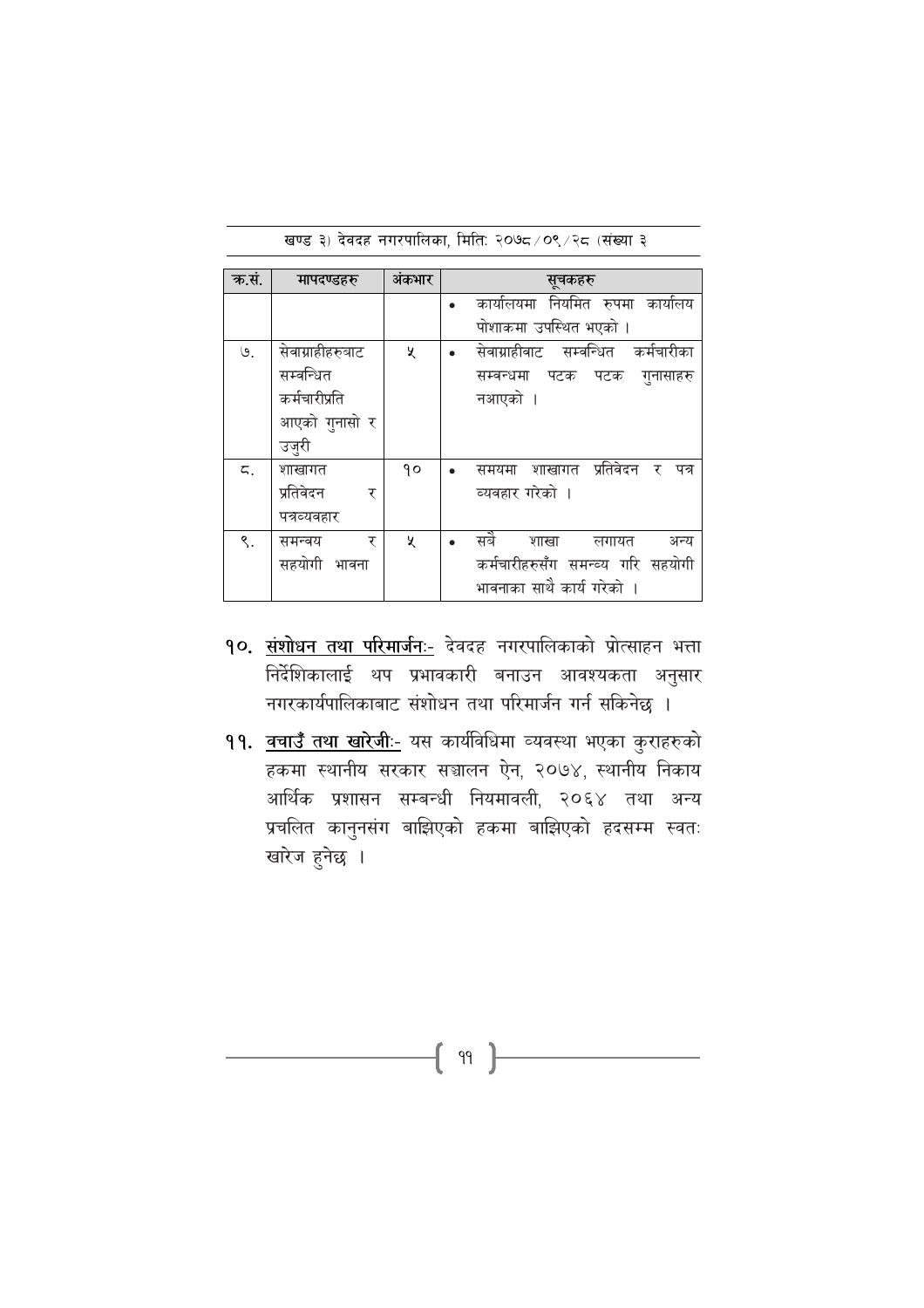| क.सं. | मापदण्डहरु       | अंकभार | सूचकहरु                                   |
|-------|------------------|--------|-------------------------------------------|
|       |                  |        | कार्यालयमा नियमित रुपमा कार्यालय          |
|       |                  |        | पोशाकमा उपस्थित भएको ।                    |
| ७.    | सेवाग्राहीहरुबाट | ৼ      | सेवाग्राहीवाट सम्वन्धित कर्मचारीका        |
|       | सम्बन्धित        |        | सम्बन्धमा पटक पटक<br>गुनासाहरु            |
|       | कर्मचारीप्रति    |        | नआएको ।                                   |
|       | आएको गुनासो र    |        |                                           |
|       | उज़ुरी           |        |                                           |
| ζ.    | शाखागत           | ۹o     | प्रतिवेदन<br>शाखागत<br>समयमा<br>र<br>पत्र |
|       | प्रतिवेदन<br>र   |        | व्यवहार गरेको ।                           |
|       | पत्रव्यवहार      |        |                                           |
| ९.    | र<br>समन्वय      | ৼ      | सबै<br>शाखा<br>अन्य<br>लगायत              |
|       | सहयोगी भावना     |        | कर्मचारीहरुसँग समन्व्य गरि सहयोगी         |
|       |                  |        | भावनाका साथै कार्य गरेको ।                |

खण्ड ३) देवदह नगरपालिका, मिति: २०७८/०९/२८ (संख्या ३

- १०. संशोधन तथा परिमार्जनः- देवदह नगरपालिकाको प्रोत्साहन भत्ता निर्देशिकालाई थप प्रभावकारी बनाउन आवश्यकता अनुसार नगरकार्यपालिकाबाट संशोधन तथा परिमार्जन गर्न सकिनेछ ।
- 99. वचाउँ तथा खारेजी:- यस कार्यविधिमा व्यवस्था भएका कुराहरुको हकमा स्थानीय सरकार सञ्चालन ऐन, २०७४, स्थानीय निकाय आर्थिक प्रशासन सम्बन्धी नियमावली, २०६४ तथा अन्य प्रचलित कानुनसंग बाझिएको हकमा बाझिएको हदसम्म स्वतः खारेज हुनेछ ।

 $\{ \begin{array}{c} 99 \end{array} \}$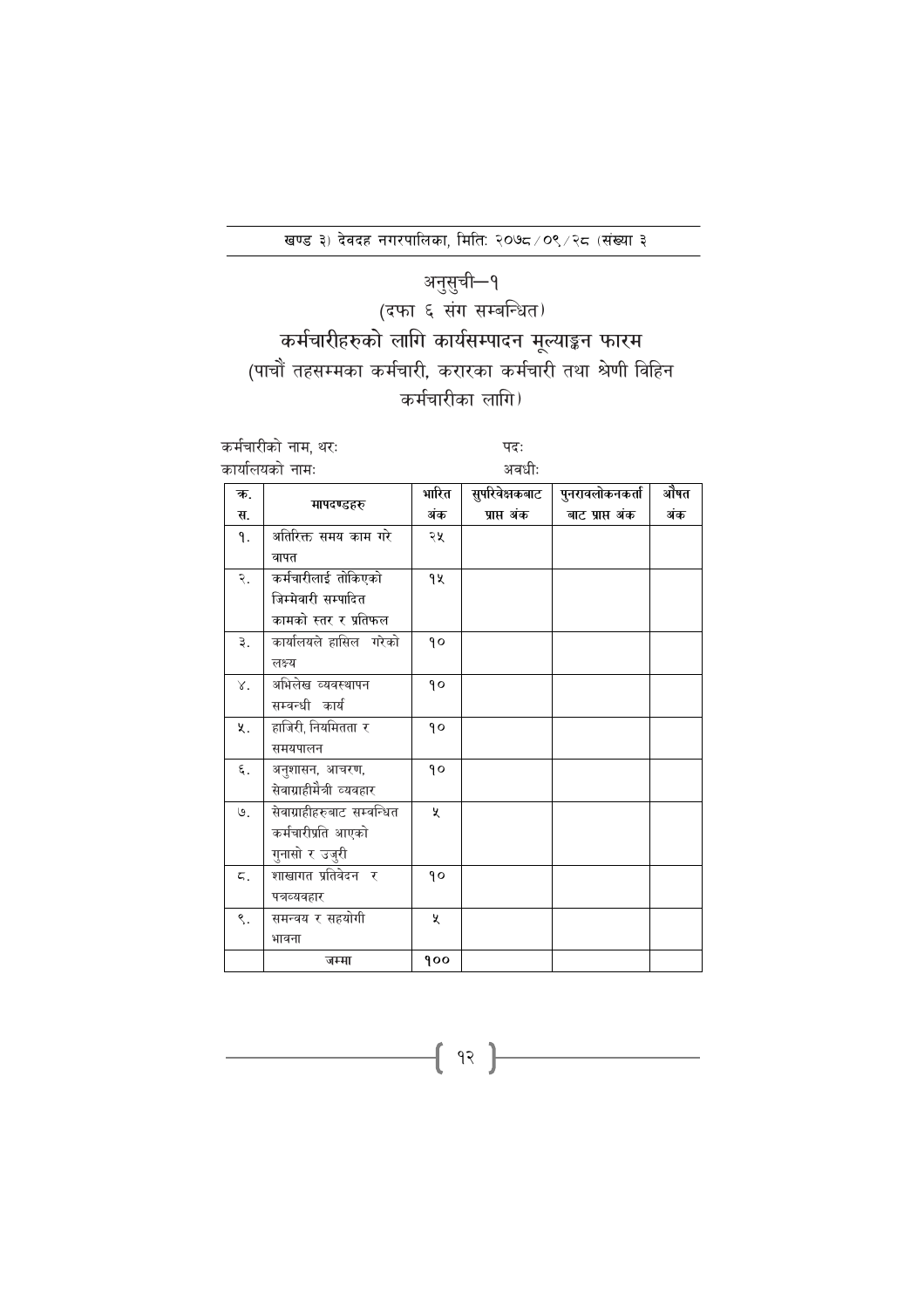## अनुसुची—१<br>(दफा ६ संग सम्बन्धित) कर्मचारीहरुको लागि कार्यसम्पादन मूल्याङ्कन फारम (पाचौं तहसम्मका कर्मचारी, करारका कर्मचारी तथा श्रेणी विहिन कर्मचारीका लागि)

|    | कर्मचारीको नाम, थरः        | पदः   |                |                 |      |
|----|----------------------------|-------|----------------|-----------------|------|
|    | कार्यालयको नामः            |       | अवधीः          |                 |      |
| क. | मापदण्डहरु                 | भारित | सुपरिवेक्षकबाट | पुनरावलोकनकर्ता | ओेषत |
| स. |                            | अंक   | प्राप्त अंक    | बाट प्राप्त अंक | अंक  |
| ۹. | अतिरिक्त समय काम गरे       | २५    |                |                 |      |
|    | वापत                       |       |                |                 |      |
| २. | कर्मचारीलाई तोकिएको        | 9X    |                |                 |      |
|    | जिम्मेवारी सम्पादित        |       |                |                 |      |
|    | कामको स्तर र प्रतिफल       |       |                |                 |      |
| ३. | कार्यालयले हासिल गरेको     | qο    |                |                 |      |
|    | लक्ष्य                     |       |                |                 |      |
| γ. | अभिलेख व्यवस्थापन          | 90    |                |                 |      |
|    | सम्वन्धी कार्य             |       |                |                 |      |
| ५. | हाजिरी, नियमितता र         | 90    |                |                 |      |
|    | समयपालन                    |       |                |                 |      |
| ξ. | अनुशासन, आचरण,             | ۹o    |                |                 |      |
|    | सेवाग्राहीमैत्री व्यवहार   |       |                |                 |      |
| ७. | सेवाग्राहीहरुबाट सम्वन्धित | Ă.    |                |                 |      |
|    | कर्मचारीप्रति आएको         |       |                |                 |      |
|    | गुनासो र उजुरी             |       |                |                 |      |
| ζ. | शाखागत प्रतिवेदन र         | ۹o    |                |                 |      |
|    | पत्रव्यवहार                |       |                |                 |      |
| ९. | समन्वय र सहयोगी            | X     |                |                 |      |
|    | भावना                      |       |                |                 |      |
|    | जम्मा                      | 900   |                |                 |      |

 $\{ \begin{array}{c} \text{if } x \end{array} \}$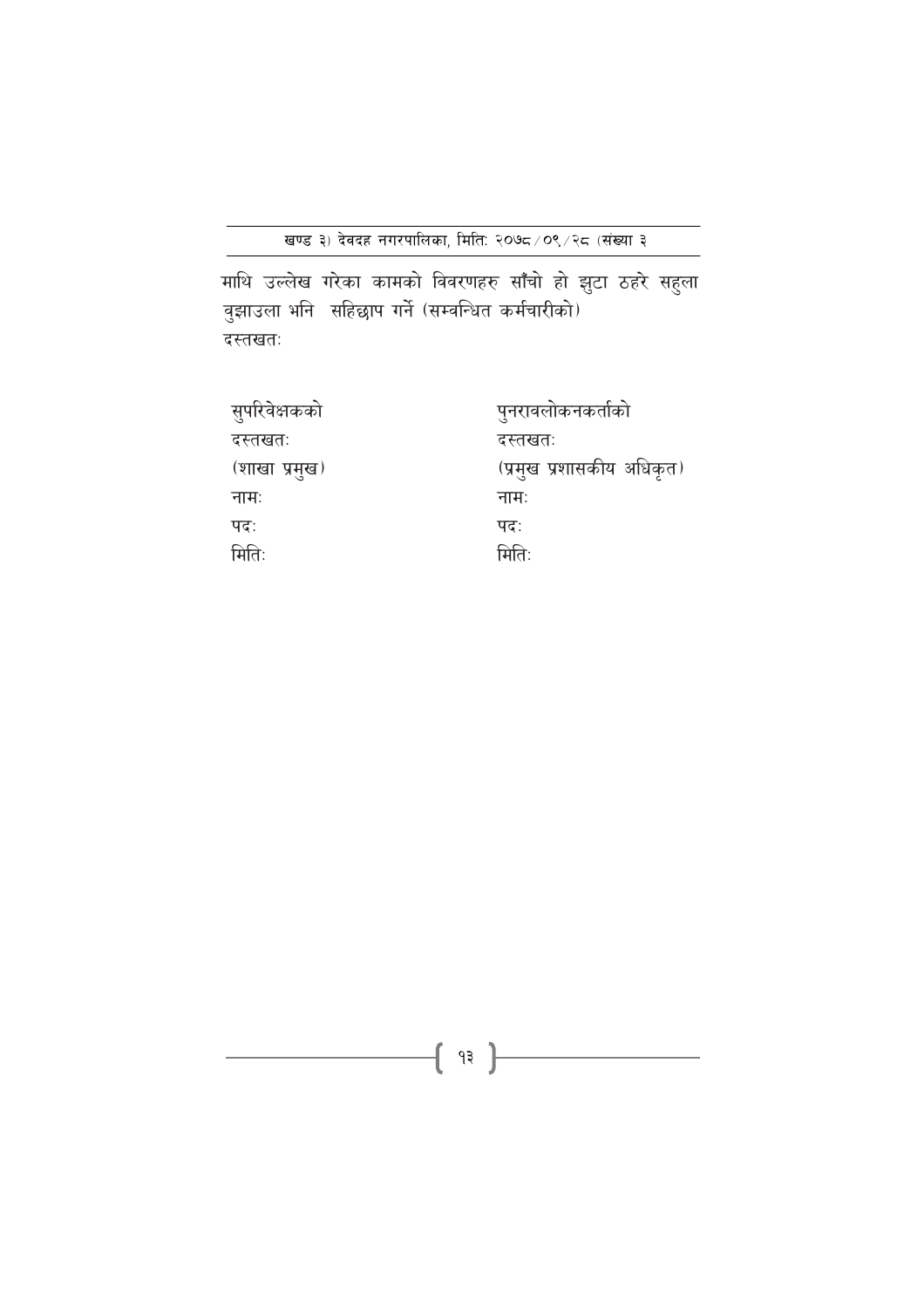माथि उल्लेख गरेका कामको विवरणहरु साँँचो हो झुटा ठहरे सहुला<br>वुझाउला भनि सहिछाप गर्ने (सम्वन्धित कर्मचारीको) दस्तखतः

| सुपरिवेक्षकको | पुनरावलोकनकर्ताको         |
|---------------|---------------------------|
| दस्तखतः       | <i>दस्त</i> खतः           |
| (शाखा प्रमुख) | (प्रमुख प्रशासकीय अधिकृत) |
| नामः          | नाम:                      |
| पदः           | पदः                       |
| मितिः         | मितिः                     |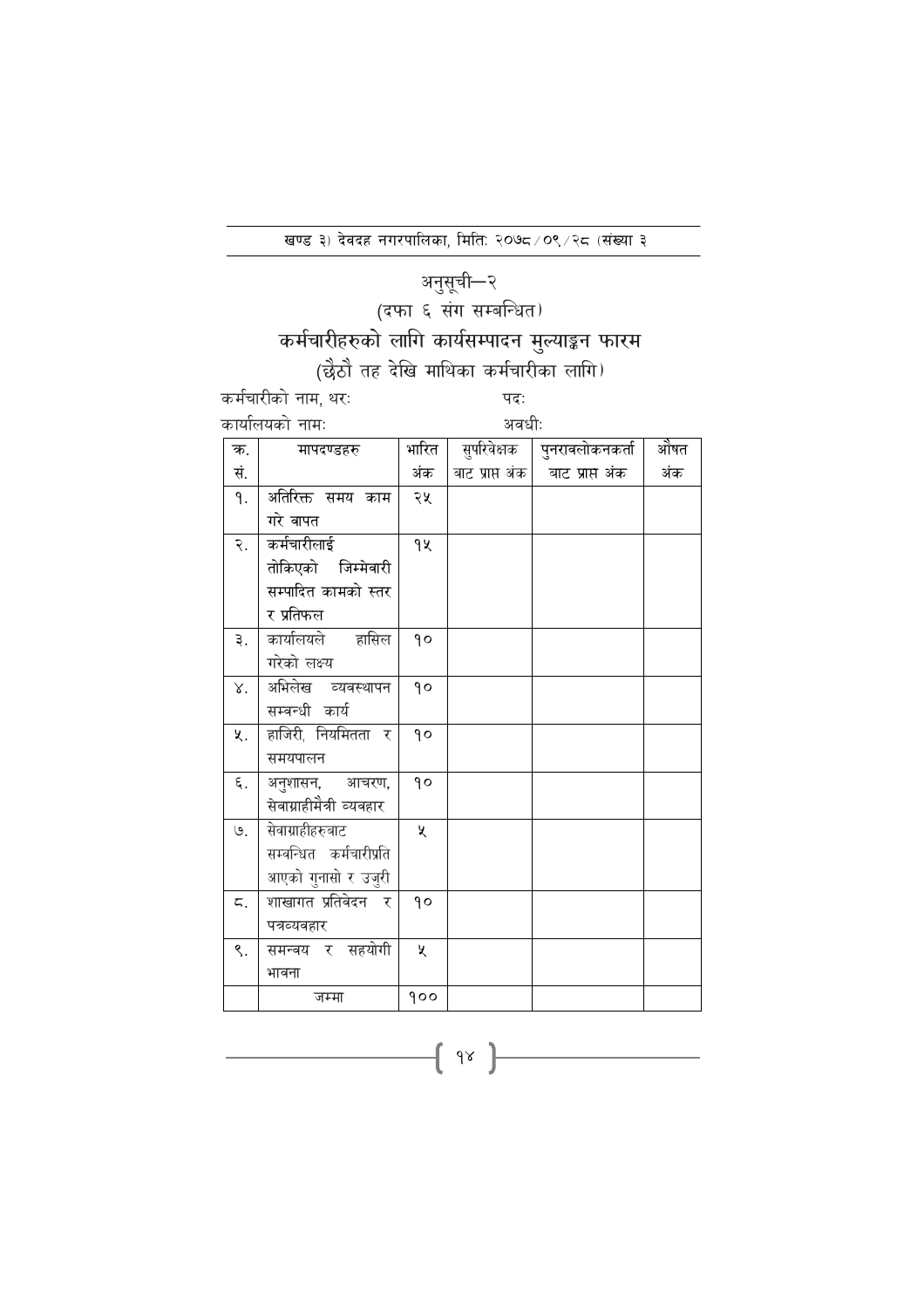## अनुसूची—२

## (दफा ६ संग सम्बन्धित)

## कर्मचारीहरुको लागि कार्यसम्पादन मुल्याङ्कन फारम

## (छैठौ तह देखि माथिका कर्मचारीका लागि)

कर्मचारीको नाम, थरः  $f_{\rm max}$ क

पदः अवधीः

| कायालयका |         |
|----------|---------|
|          | मापदण्ड |

| ऋ.  | मापदण्डहरु               | भारित   | सुपारवक्षक      | पुनरावलाकनकता   | आषत |
|-----|--------------------------|---------|-----------------|-----------------|-----|
| सं. |                          | अंक     | बाट प्राप्त अंक | बाट प्राप्त अंक | अंक |
| ٩.  | अतिरिक्त समय काम         | २५      |                 |                 |     |
|     | गरे वापत                 |         |                 |                 |     |
| २.  | कर्मचारीलाई              | 94      |                 |                 |     |
|     | तोकिएको जिम्मेवारी       |         |                 |                 |     |
|     | सम्पादित कामको स्तर      |         |                 |                 |     |
|     | र प्रतिफल                |         |                 |                 |     |
| ३.  | कार्यालयले हासिल         | $\circ$ |                 |                 |     |
|     | गरेको लक्ष्य             |         |                 |                 |     |
| γ.  | अभिलेख व्यवस्थापन        | $\circ$ |                 |                 |     |
|     | सम्बन्धी कार्य           |         |                 |                 |     |
| ५.  | हाजिरी, नियमितता र       | ۹o      |                 |                 |     |
|     | समयपालन                  |         |                 |                 |     |
| ξ.  | अनुशासन, आचरण,           | $\circ$ |                 |                 |     |
|     | सेवाग्राहीमैत्री व्यवहार |         |                 |                 |     |
| ७.  | सेवाग्राहीहरुबाट         | ৼ       |                 |                 |     |
|     | सम्वन्धित कर्मचारीप्रति  |         |                 |                 |     |
|     | आएको गुनासो र उजुरी      |         |                 |                 |     |
| ζ.  | शाखागत प्रतिवेदन र       | $\circ$ |                 |                 |     |
|     | पत्रव्यवहार              |         |                 |                 |     |
| ९.  | समन्वय र सहयोगी          | ৼ       |                 |                 |     |
|     | भावना                    |         |                 |                 |     |
|     | जम्मा                    | 900     |                 |                 |     |

 $\begin{array}{c} \begin{array}{c} \begin{array}{c} \end{array} \end{array}$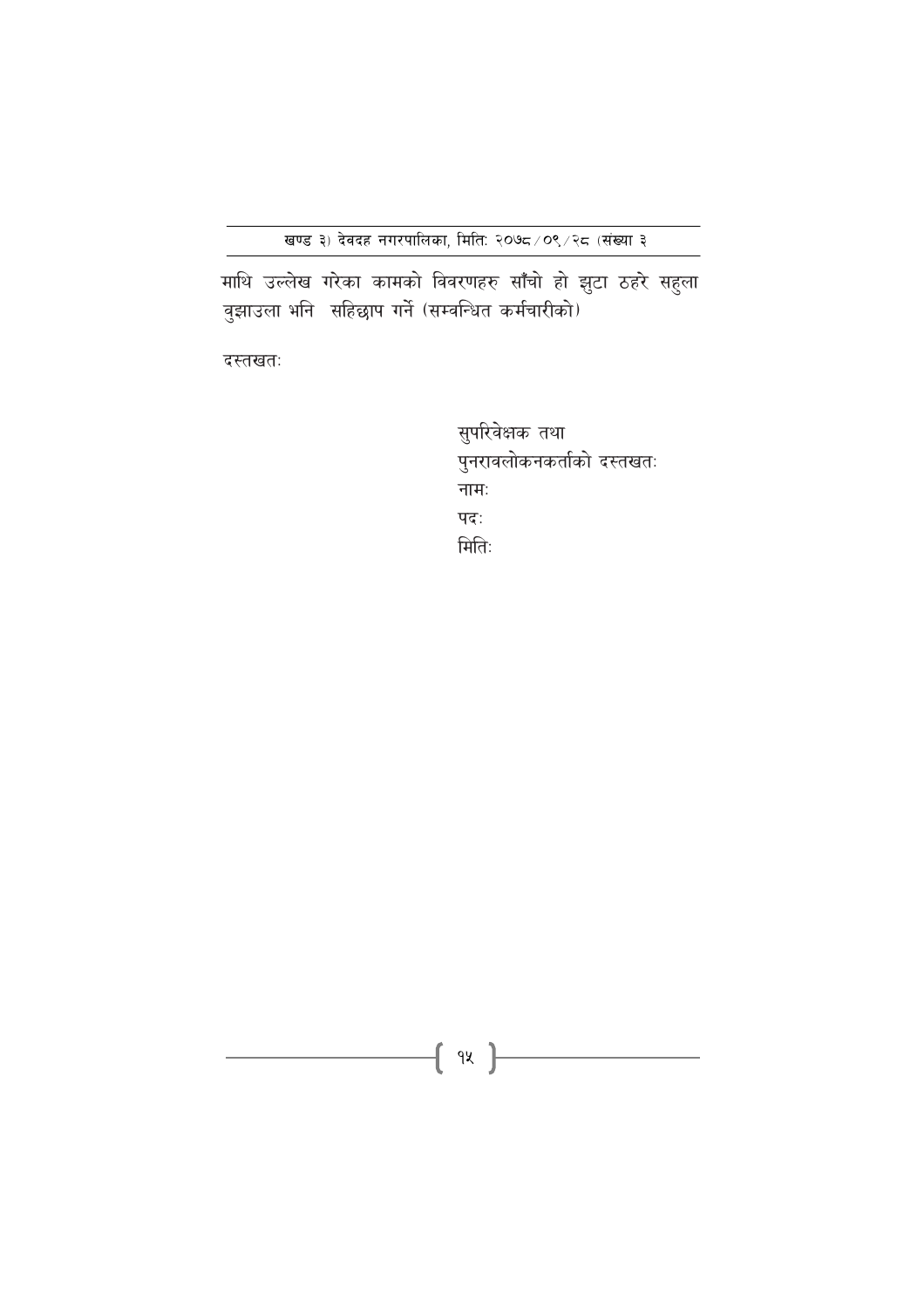माथि उल्लेख गरेका कामको विवरणहरु साँँचो हो झुटा ठहरे सहुला<br>वुझाउला भनि सहिछाप गर्ने (सम्वन्धित कर्मचारीको)

दस्तखतः

सुपरिवेक्षक तथा पुनरावलोकनकर्ताको दस्तखतः नामः पदः मितिः

{ 9X }